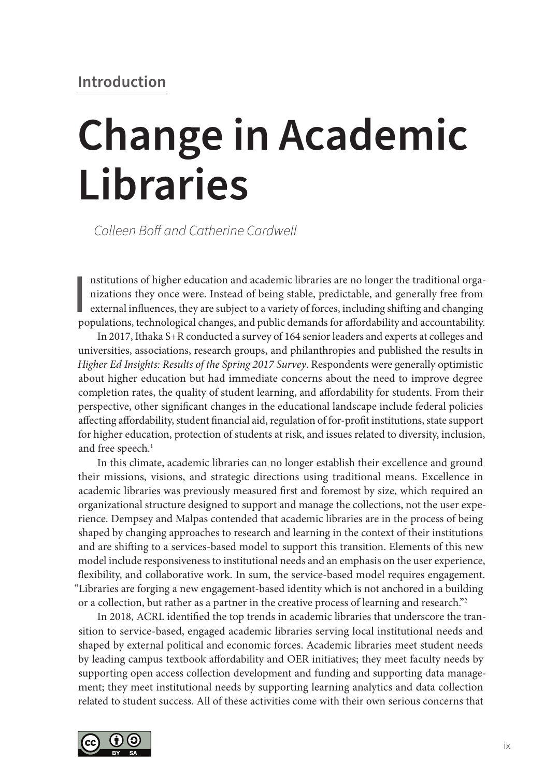# **Change in Academic Libraries**

*Colleen Boff and Catherine Cardwell*

Institutions of higher education and academic libraries are no longer the traditional organizations they once were. Instead of being stable, predictable, and generally free from external influences, they are subject to a v nstitutions of higher education and academic libraries are no longer the traditional organizations they once were. Instead of being stable, predictable, and generally free from external influences, they are subject to a variety of forces, including shifting and changing

In 2017, Ithaka S+R conducted a survey of 164 senior leaders and experts at colleges and universities, associations, research groups, and philanthropies and published the results in *Higher Ed Insights: Results of the Spring 2017 Survey*. Respondents were generally optimistic about higher education but had immediate concerns about the need to improve degree completion rates, the quality of student learning, and affordability for students. From their perspective, other significant changes in the educational landscape include federal policies affecting affordability, student financial aid, regulation of for-profit institutions, state support for higher education, protection of students at risk, and issues related to diversity, inclusion, and free speech.<sup>1</sup>

In this climate, academic libraries can no longer establish their excellence and ground their missions, visions, and strategic directions using traditional means. Excellence in academic libraries was previously measured first and foremost by size, which required an organizational structure designed to support and manage the collections, not the user experience. Dempsey and Malpas contended that academic libraries are in the process of being shaped by changing approaches to research and learning in the context of their institutions and are shifting to a services-based model to support this transition. Elements of this new model include responsiveness to institutional needs and an emphasis on the user experience, flexibility, and collaborative work. In sum, the service-based model requires engagement. "Libraries are forging a new engagement-based identity which is not anchored in a building or a collection, but rather as a partner in the creative process of learning and research."2

In 2018, ACRL identified the top trends in academic libraries that underscore the transition to service-based, engaged academic libraries serving local institutional needs and shaped by external political and economic forces. Academic libraries meet student needs by leading campus textbook affordability and OER initiatives; they meet faculty needs by supporting open access collection development and funding and supporting data management; they meet institutional needs by supporting learning analytics and data collection related to student success. All of these activities come with their own serious concerns that

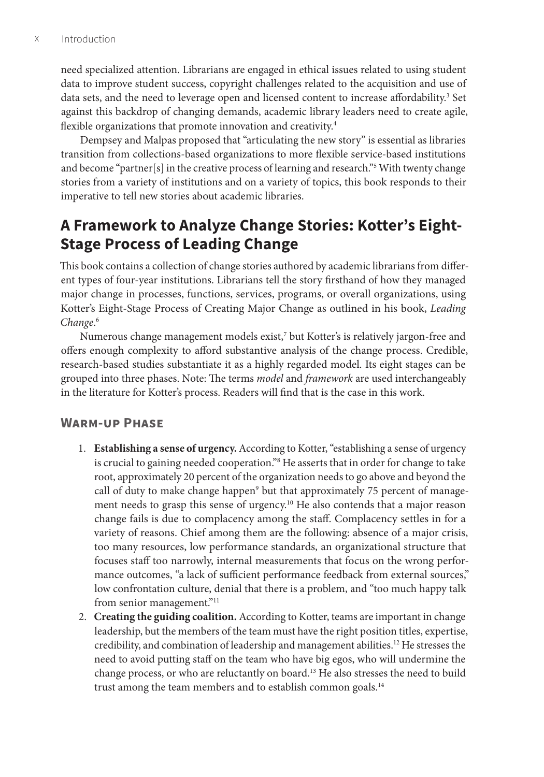need specialized attention. Librarians are engaged in ethical issues related to using student data to improve student success, copyright challenges related to the acquisition and use of data sets, and the need to leverage open and licensed content to increase affordability.<sup>3</sup> Set against this backdrop of changing demands, academic library leaders need to create agile, flexible organizations that promote innovation and creativity.<sup>4</sup>

Dempsey and Malpas proposed that "articulating the new story" is essential as libraries transition from collections-based organizations to more flexible service-based institutions and become "partner[s] in the creative process of learning and research."5 With twenty change stories from a variety of institutions and on a variety of topics, this book responds to their imperative to tell new stories about academic libraries.

## **A Framework to Analyze Change Stories: Kotter's Eight-Stage Process of Leading Change**

This book contains a collection of change stories authored by academic librarians from different types of four-year institutions. Librarians tell the story firsthand of how they managed major change in processes, functions, services, programs, or overall organizations, using Kotter's Eight-Stage Process of Creating Major Change as outlined in his book, *Leading Change*. 6

Numerous change management models exist,<sup>7</sup> but Kotter's is relatively jargon-free and offers enough complexity to afford substantive analysis of the change process. Credible, research-based studies substantiate it as a highly regarded model. Its eight stages can be grouped into three phases. Note: The terms *model* and *framework* are used interchangeably in the literature for Kotter's process. Readers will find that is the case in this work.

#### **Warm-up Phase**

- 1. **Establishing a sense of urgency.** According to Kotter, "establishing a sense of urgency is crucial to gaining needed cooperation."8 He asserts that in order for change to take root, approximately 20 percent of the organization needs to go above and beyond the call of duty to make change happen<sup>9</sup> but that approximately 75 percent of management needs to grasp this sense of urgency.10 He also contends that a major reason change fails is due to complacency among the staff. Complacency settles in for a variety of reasons. Chief among them are the following: absence of a major crisis, too many resources, low performance standards, an organizational structure that focuses staff too narrowly, internal measurements that focus on the wrong performance outcomes, "a lack of sufficient performance feedback from external sources," low confrontation culture, denial that there is a problem, and "too much happy talk from senior management."<sup>11</sup>
- 2. **Creating the guiding coalition.** According to Kotter, teams are important in change leadership, but the members of the team must have the right position titles, expertise, credibility, and combination of leadership and management abilities.<sup>12</sup> He stresses the need to avoid putting staff on the team who have big egos, who will undermine the change process, or who are reluctantly on board.13 He also stresses the need to build trust among the team members and to establish common goals.<sup>14</sup>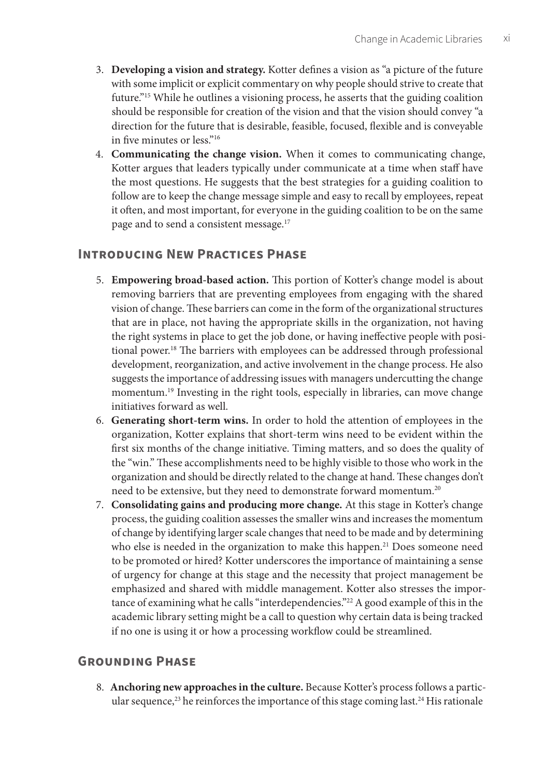- 3. **Developing a vision and strategy.** Kotter defines a vision as "a picture of the future with some implicit or explicit commentary on why people should strive to create that future."15 While he outlines a visioning process, he asserts that the guiding coalition should be responsible for creation of the vision and that the vision should convey "a direction for the future that is desirable, feasible, focused, flexible and is conveyable in five minutes or less."16
- 4. **Communicating the change vision.** When it comes to communicating change, Kotter argues that leaders typically under communicate at a time when staff have the most questions. He suggests that the best strategies for a guiding coalition to follow are to keep the change message simple and easy to recall by employees, repeat it often, and most important, for everyone in the guiding coalition to be on the same page and to send a consistent message.<sup>17</sup>

## **Introducing New Practices Phase**

- 5. **Empowering broad-based action.** This portion of Kotter's change model is about removing barriers that are preventing employees from engaging with the shared vision of change. These barriers can come in the form of the organizational structures that are in place, not having the appropriate skills in the organization, not having the right systems in place to get the job done, or having ineffective people with positional power.18 The barriers with employees can be addressed through professional development, reorganization, and active involvement in the change process. He also suggests the importance of addressing issues with managers undercutting the change momentum.<sup>19</sup> Investing in the right tools, especially in libraries, can move change initiatives forward as well.
- 6. **Generating short-term wins.** In order to hold the attention of employees in the organization, Kotter explains that short-term wins need to be evident within the first six months of the change initiative. Timing matters, and so does the quality of the "win." These accomplishments need to be highly visible to those who work in the organization and should be directly related to the change at hand. These changes don't need to be extensive, but they need to demonstrate forward momentum.20
- 7. **Consolidating gains and producing more change.** At this stage in Kotter's change process, the guiding coalition assesses the smaller wins and increases the momentum of change by identifying larger scale changes that need to be made and by determining who else is needed in the organization to make this happen.<sup>21</sup> Does someone need to be promoted or hired? Kotter underscores the importance of maintaining a sense of urgency for change at this stage and the necessity that project management be emphasized and shared with middle management. Kotter also stresses the importance of examining what he calls "interdependencies."<sup>22</sup> A good example of this in the academic library setting might be a call to question why certain data is being tracked if no one is using it or how a processing workflow could be streamlined.

## **Grounding Phase**

8. **Anchoring new approaches in the culture.** Because Kotter's process follows a particular sequence,<sup>23</sup> he reinforces the importance of this stage coming last.<sup>24</sup> His rationale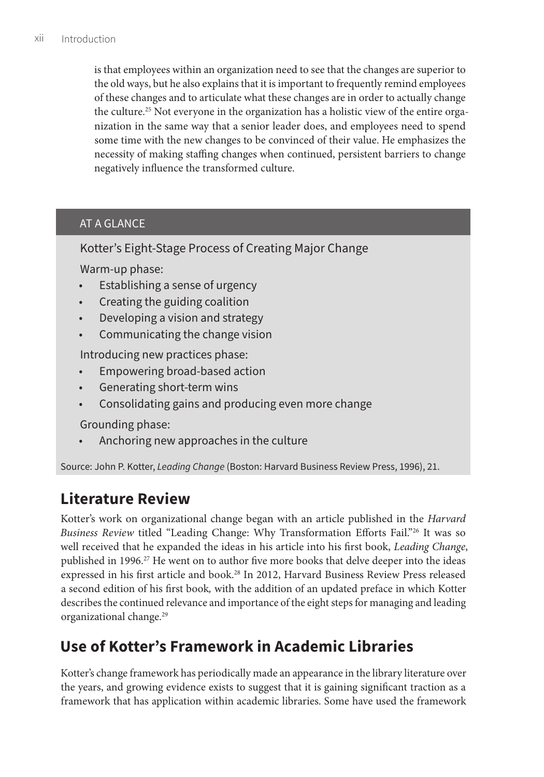is that employees within an organization need to see that the changes are superior to the old ways, but he also explains that it is important to frequently remind employees of these changes and to articulate what these changes are in order to actually change the culture.25 Not everyone in the organization has a holistic view of the entire organization in the same way that a senior leader does, and employees need to spend some time with the new changes to be convinced of their value. He emphasizes the necessity of making staffing changes when continued, persistent barriers to change negatively influence the transformed culture.

## AT A GLANCE

Kotter's Eight-Stage Process of Creating Major Change

Warm-up phase:

- Establishing a sense of urgency
- Creating the guiding coalition
- Developing a vision and strategy
- Communicating the change vision

Introducing new practices phase:

- Empowering broad-based action
- Generating short-term wins
- Consolidating gains and producing even more change

Grounding phase:

• Anchoring new approaches in the culture

Source: John P. Kotter, *Leading Change* (Boston: Harvard Business Review Press, 1996), 21.

# **Literature Review**

Kotter's work on organizational change began with an article published in the *Harvard Business Review* titled "Leading Change: Why Transformation Efforts Fail."26 It was so well received that he expanded the ideas in his article into his first book, *Leading Change*, published in 1996.<sup>27</sup> He went on to author five more books that delve deeper into the ideas expressed in his first article and book.<sup>28</sup> In 2012, Harvard Business Review Press released a second edition of his first book*,* with the addition of an updated preface in which Kotter describes the continued relevance and importance of the eight steps for managing and leading organizational change.<sup>29</sup>

# **Use of Kotter's Framework in Academic Libraries**

Kotter's change framework has periodically made an appearance in the library literature over the years, and growing evidence exists to suggest that it is gaining significant traction as a framework that has application within academic libraries. Some have used the framework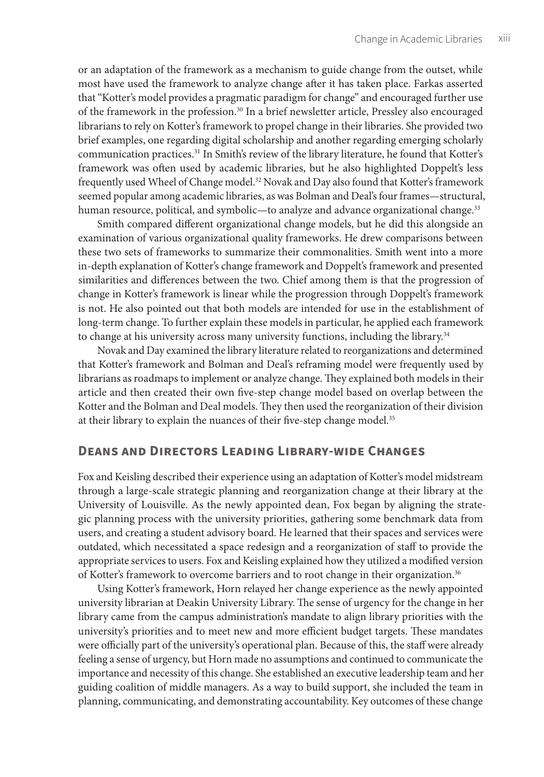or an adaptation of the framework as a mechanism to guide change from the outset, while most have used the framework to analyze change after it has taken place. Farkas asserted that "Kotter's model provides a pragmatic paradigm for change" and encouraged further use of the framework in the profession.<sup>30</sup> In a brief newsletter article, Pressley also encouraged librarians to rely on Kotter's framework to propel change in their libraries. She provided two brief examples, one regarding digital scholarship and another regarding emerging scholarly communication practices.31 In Smith's review of the library literature, he found that Kotter's framework was often used by academic libraries, but he also highlighted Doppelt's less frequently used Wheel of Change model.<sup>32</sup> Novak and Day also found that Kotter's framework seemed popular among academic libraries, as was Bolman and Deal's four frames—structural, human resource, political, and symbolic—to analyze and advance organizational change.<sup>33</sup>

Smith compared different organizational change models, but he did this alongside an examination of various organizational quality frameworks. He drew comparisons between these two sets of frameworks to summarize their commonalities. Smith went into a more in-depth explanation of Kotter's change framework and Doppelt's framework and presented similarities and differences between the two. Chief among them is that the progression of change in Kotter's framework is linear while the progression through Doppelt's framework is not. He also pointed out that both models are intended for use in the establishment of long-term change. To further explain these models in particular, he applied each framework to change at his university across many university functions, including the library.<sup>34</sup>

Novak and Day examined the library literature related to reorganizations and determined that Kotter's framework and Bolman and Deal's reframing model were frequently used by librarians as roadmaps to implement or analyze change. They explained both models in their article and then created their own five-step change model based on overlap between the Kotter and the Bolman and Deal models. They then used the reorganization of their division at their library to explain the nuances of their five-step change model.<sup>35</sup>

### **Deans and Directors Leading Library-wide Changes**

Fox and Keisling described their experience using an adaptation of Kotter's model midstream through a large-scale strategic planning and reorganization change at their library at the University of Louisville. As the newly appointed dean, Fox began by aligning the strategic planning process with the university priorities, gathering some benchmark data from users, and creating a student advisory board. He learned that their spaces and services were outdated, which necessitated a space redesign and a reorganization of staff to provide the appropriate services to users. Fox and Keisling explained how they utilized a modified version of Kotter's framework to overcome barriers and to root change in their organization.36

Using Kotter's framework, Horn relayed her change experience as the newly appointed university librarian at Deakin University Library. The sense of urgency for the change in her library came from the campus administration's mandate to align library priorities with the university's priorities and to meet new and more efficient budget targets. These mandates were officially part of the university's operational plan. Because of this, the staff were already feeling a sense of urgency, but Horn made no assumptions and continued to communicate the importance and necessity of this change. She established an executive leadership team and her guiding coalition of middle managers. As a way to build support, she included the team in planning, communicating, and demonstrating accountability. Key outcomes of these change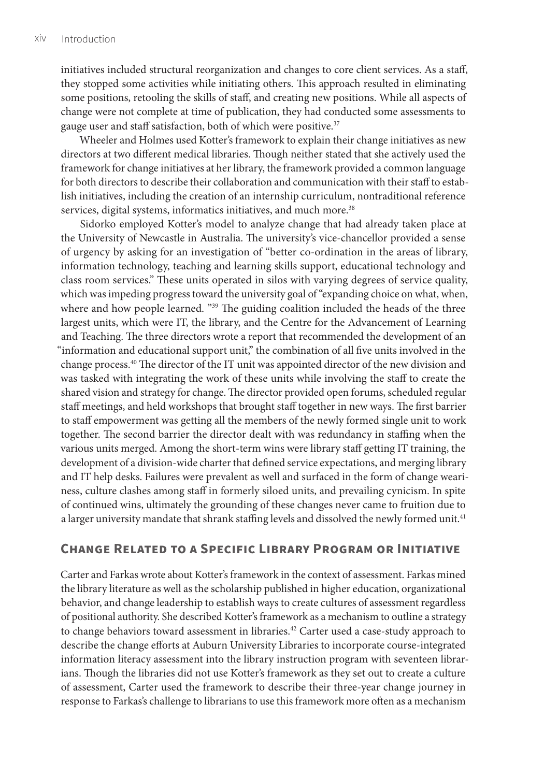initiatives included structural reorganization and changes to core client services. As a staff, they stopped some activities while initiating others. This approach resulted in eliminating some positions, retooling the skills of staff, and creating new positions. While all aspects of change were not complete at time of publication, they had conducted some assessments to gauge user and staff satisfaction, both of which were positive.<sup>37</sup>

Wheeler and Holmes used Kotter's framework to explain their change initiatives as new directors at two different medical libraries. Though neither stated that she actively used the framework for change initiatives at her library, the framework provided a common language for both directors to describe their collaboration and communication with their staff to establish initiatives, including the creation of an internship curriculum, nontraditional reference services, digital systems, informatics initiatives, and much more.<sup>38</sup>

Sidorko employed Kotter's model to analyze change that had already taken place at the University of Newcastle in Australia. The university's vice-chancellor provided a sense of urgency by asking for an investigation of "better co-ordination in the areas of library, information technology, teaching and learning skills support, educational technology and class room services." These units operated in silos with varying degrees of service quality, which was impeding progress toward the university goal of "expanding choice on what, when, where and how people learned. "<sup>39</sup> The guiding coalition included the heads of the three largest units, which were IT, the library, and the Centre for the Advancement of Learning and Teaching. The three directors wrote a report that recommended the development of an "information and educational support unit," the combination of all five units involved in the change process.40 The director of the IT unit was appointed director of the new division and was tasked with integrating the work of these units while involving the staff to create the shared vision and strategy for change. The director provided open forums, scheduled regular staff meetings, and held workshops that brought staff together in new ways. The first barrier to staff empowerment was getting all the members of the newly formed single unit to work together. The second barrier the director dealt with was redundancy in staffing when the various units merged. Among the short-term wins were library staff getting IT training, the development of a division-wide charter that defined service expectations, and merging library and IT help desks. Failures were prevalent as well and surfaced in the form of change weariness, culture clashes among staff in formerly siloed units, and prevailing cynicism. In spite of continued wins, ultimately the grounding of these changes never came to fruition due to a larger university mandate that shrank staffing levels and dissolved the newly formed unit.<sup>41</sup>

#### **Change Related to a Specific Library Program or Initiative**

Carter and Farkas wrote about Kotter's framework in the context of assessment. Farkas mined the library literature as well as the scholarship published in higher education, organizational behavior, and change leadership to establish ways to create cultures of assessment regardless of positional authority. She described Kotter's framework as a mechanism to outline a strategy to change behaviors toward assessment in libraries.<sup>42</sup> Carter used a case-study approach to describe the change efforts at Auburn University Libraries to incorporate course-integrated information literacy assessment into the library instruction program with seventeen librarians. Though the libraries did not use Kotter's framework as they set out to create a culture of assessment, Carter used the framework to describe their three-year change journey in response to Farkas's challenge to librarians to use this framework more often as a mechanism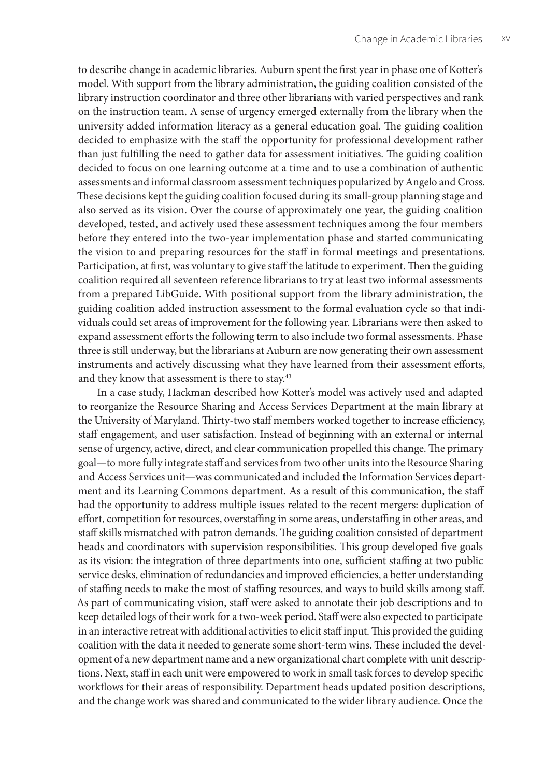to describe change in academic libraries. Auburn spent the first year in phase one of Kotter's model. With support from the library administration, the guiding coalition consisted of the library instruction coordinator and three other librarians with varied perspectives and rank on the instruction team. A sense of urgency emerged externally from the library when the university added information literacy as a general education goal. The guiding coalition decided to emphasize with the staff the opportunity for professional development rather than just fulfilling the need to gather data for assessment initiatives. The guiding coalition decided to focus on one learning outcome at a time and to use a combination of authentic assessments and informal classroom assessment techniques popularized by Angelo and Cross. These decisions kept the guiding coalition focused during its small-group planning stage and also served as its vision. Over the course of approximately one year, the guiding coalition developed, tested, and actively used these assessment techniques among the four members before they entered into the two-year implementation phase and started communicating the vision to and preparing resources for the staff in formal meetings and presentations. Participation, at first, was voluntary to give staff the latitude to experiment. Then the guiding coalition required all seventeen reference librarians to try at least two informal assessments from a prepared LibGuide. With positional support from the library administration, the guiding coalition added instruction assessment to the formal evaluation cycle so that individuals could set areas of improvement for the following year. Librarians were then asked to expand assessment efforts the following term to also include two formal assessments. Phase three is still underway, but the librarians at Auburn are now generating their own assessment instruments and actively discussing what they have learned from their assessment efforts, and they know that assessment is there to stay.<sup>43</sup>

In a case study, Hackman described how Kotter's model was actively used and adapted to reorganize the Resource Sharing and Access Services Department at the main library at the University of Maryland. Thirty-two staff members worked together to increase efficiency, staff engagement, and user satisfaction. Instead of beginning with an external or internal sense of urgency, active, direct, and clear communication propelled this change. The primary goal—to more fully integrate staff and services from two other units into the Resource Sharing and Access Services unit—was communicated and included the Information Services department and its Learning Commons department. As a result of this communication, the staff had the opportunity to address multiple issues related to the recent mergers: duplication of effort, competition for resources, overstaffing in some areas, understaffing in other areas, and staff skills mismatched with patron demands. The guiding coalition consisted of department heads and coordinators with supervision responsibilities. This group developed five goals as its vision: the integration of three departments into one, sufficient staffing at two public service desks, elimination of redundancies and improved efficiencies, a better understanding of staffing needs to make the most of staffing resources, and ways to build skills among staff. As part of communicating vision, staff were asked to annotate their job descriptions and to keep detailed logs of their work for a two-week period. Staff were also expected to participate in an interactive retreat with additional activities to elicit staff input. This provided the guiding coalition with the data it needed to generate some short-term wins. These included the development of a new department name and a new organizational chart complete with unit descriptions. Next, staff in each unit were empowered to work in small task forces to develop specific workflows for their areas of responsibility. Department heads updated position descriptions, and the change work was shared and communicated to the wider library audience. Once the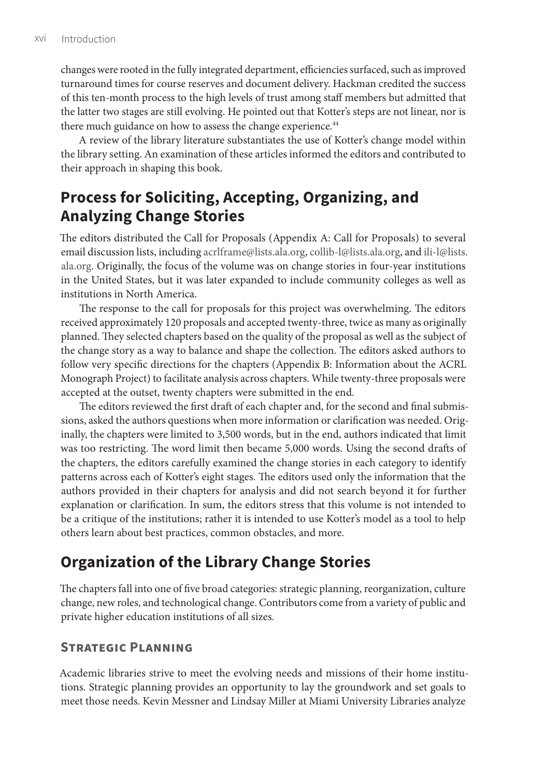changes were rooted in the fully integrated department, efficiencies surfaced, such as improved turnaround times for course reserves and document delivery. Hackman credited the success of this ten-month process to the high levels of trust among staff members but admitted that the latter two stages are still evolving. He pointed out that Kotter's steps are not linear, nor is there much guidance on how to assess the change experience.<sup>44</sup>

A review of the library literature substantiates the use of Kotter's change model within the library setting. An examination of these articles informed the editors and contributed to their approach in shaping this book.

## **Process for Soliciting, Accepting, Organizing, and Analyzing Change Stories**

The editors distributed the Call for Proposals (Appendix A: Call for Proposals) to several email discussion lists, including [acrlframe@lists.ala.org,](mailto:acrlframe@lists.ala.org) [collib-l@lists.ala.org,](mailto:collib-l@lists.ala.org) and [ili-l@lists.](mailto:ili-l@lists.ala.org) [ala.org.](mailto:ili-l@lists.ala.org) Originally, the focus of the volume was on change stories in four-year institutions in the United States, but it was later expanded to include community colleges as well as institutions in North America.

The response to the call for proposals for this project was overwhelming. The editors received approximately 120 proposals and accepted twenty-three, twice as many as originally planned. They selected chapters based on the quality of the proposal as well as the subject of the change story as a way to balance and shape the collection. The editors asked authors to follow very specific directions for the chapters (Appendix B: Information about the ACRL Monograph Project) to facilitate analysis across chapters. While twenty-three proposals were accepted at the outset, twenty chapters were submitted in the end.

The editors reviewed the first draft of each chapter and, for the second and final submissions, asked the authors questions when more information or clarification was needed. Originally, the chapters were limited to 3,500 words, but in the end, authors indicated that limit was too restricting. The word limit then became 5,000 words. Using the second drafts of the chapters, the editors carefully examined the change stories in each category to identify patterns across each of Kotter's eight stages. The editors used only the information that the authors provided in their chapters for analysis and did not search beyond it for further explanation or clarification. In sum, the editors stress that this volume is not intended to be a critique of the institutions; rather it is intended to use Kotter's model as a tool to help others learn about best practices, common obstacles, and more.

# **Organization of the Library Change Stories**

The chapters fall into one of five broad categories: strategic planning, reorganization, culture change, new roles, and technological change. Contributors come from a variety of public and private higher education institutions of all sizes.

## **Strategic Planning**

Academic libraries strive to meet the evolving needs and missions of their home institutions. Strategic planning provides an opportunity to lay the groundwork and set goals to meet those needs. Kevin Messner and Lindsay Miller at Miami University Libraries analyze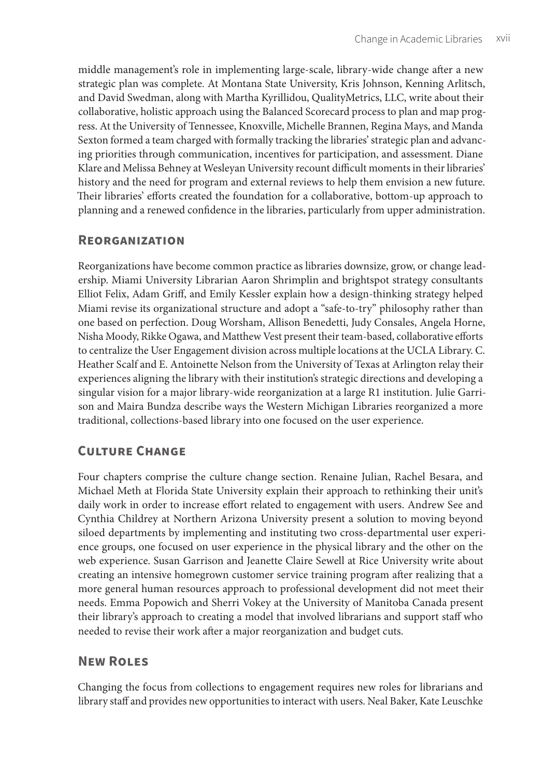middle management's role in implementing large-scale, library-wide change after a new strategic plan was complete. At Montana State University, Kris Johnson, Kenning Arlitsch, and David Swedman, along with Martha Kyrillidou, QualityMetrics, LLC, write about their collaborative, holistic approach using the Balanced Scorecard process to plan and map progress. At the University of Tennessee, Knoxville, Michelle Brannen, Regina Mays, and Manda Sexton formed a team charged with formally tracking the libraries' strategic plan and advancing priorities through communication, incentives for participation, and assessment. Diane Klare and Melissa Behney at Wesleyan University recount difficult moments in their libraries' history and the need for program and external reviews to help them envision a new future. Their libraries' efforts created the foundation for a collaborative, bottom-up approach to planning and a renewed confidence in the libraries, particularly from upper administration.

### **Reorganization**

Reorganizations have become common practice as libraries downsize, grow, or change leadership. Miami University Librarian Aaron Shrimplin and brightspot strategy consultants Elliot Felix, Adam Griff, and Emily Kessler explain how a design-thinking strategy helped Miami revise its organizational structure and adopt a "safe-to-try" philosophy rather than one based on perfection. Doug Worsham, Allison Benedetti, Judy Consales, Angela Horne, Nisha Moody, Rikke Ogawa, and Matthew Vest present their team-based, collaborative efforts to centralize the User Engagement division across multiple locations at the UCLA Library. C. Heather Scalf and E. Antoinette Nelson from the University of Texas at Arlington relay their experiences aligning the library with their institution's strategic directions and developing a singular vision for a major library-wide reorganization at a large R1 institution. Julie Garrison and Maira Bundza describe ways the Western Michigan Libraries reorganized a more traditional, collections-based library into one focused on the user experience.

## **Culture Change**

Four chapters comprise the culture change section. Renaine Julian, Rachel Besara, and Michael Meth at Florida State University explain their approach to rethinking their unit's daily work in order to increase effort related to engagement with users. Andrew See and Cynthia Childrey at Northern Arizona University present a solution to moving beyond siloed departments by implementing and instituting two cross-departmental user experience groups, one focused on user experience in the physical library and the other on the web experience. Susan Garrison and Jeanette Claire Sewell at Rice University write about creating an intensive homegrown customer service training program after realizing that a more general human resources approach to professional development did not meet their needs. Emma Popowich and Sherri Vokey at the University of Manitoba Canada present their library's approach to creating a model that involved librarians and support staff who needed to revise their work after a major reorganization and budget cuts.

## **New Roles**

Changing the focus from collections to engagement requires new roles for librarians and library staff and provides new opportunities to interact with users. Neal Baker, Kate Leuschke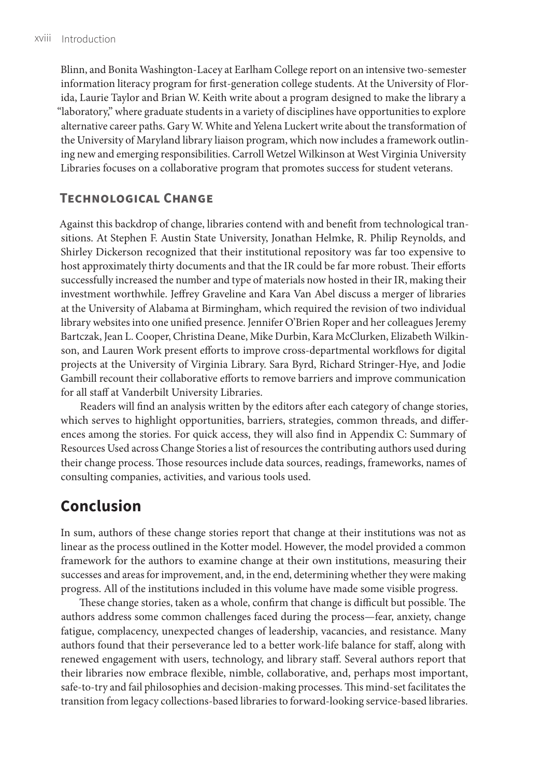Blinn, and Bonita Washington-Lacey at Earlham College report on an intensive two-semester information literacy program for first-generation college students. At the University of Florida, Laurie Taylor and Brian W. Keith write about a program designed to make the library a "laboratory," where graduate students in a variety of disciplines have opportunities to explore alternative career paths. Gary W. White and Yelena Luckert write about the transformation of the University of Maryland library liaison program, which now includes a framework outlining new and emerging responsibilities. Carroll Wetzel Wilkinson at West Virginia University Libraries focuses on a collaborative program that promotes success for student veterans.

## **Technological Change**

Against this backdrop of change, libraries contend with and benefit from technological transitions. At Stephen F. Austin State University, Jonathan Helmke, R. Philip Reynolds, and Shirley Dickerson recognized that their institutional repository was far too expensive to host approximately thirty documents and that the IR could be far more robust. Their efforts successfully increased the number and type of materials now hosted in their IR, making their investment worthwhile. Jeffrey Graveline and Kara Van Abel discuss a merger of libraries at the University of Alabama at Birmingham, which required the revision of two individual library websites into one unified presence. Jennifer O'Brien Roper and her colleagues Jeremy Bartczak, Jean L. Cooper, Christina Deane, Mike Durbin, Kara McClurken, Elizabeth Wilkinson, and Lauren Work present efforts to improve cross-departmental workflows for digital projects at the University of Virginia Library. Sara Byrd, Richard Stringer-Hye, and Jodie Gambill recount their collaborative efforts to remove barriers and improve communication for all staff at Vanderbilt University Libraries.

Readers will find an analysis written by the editors after each category of change stories, which serves to highlight opportunities, barriers, strategies, common threads, and differences among the stories. For quick access, they will also find in Appendix C: Summary of Resources Used across Change Stories a list of resources the contributing authors used during their change process. Those resources include data sources, readings, frameworks, names of consulting companies, activities, and various tools used.

## **Conclusion**

In sum, authors of these change stories report that change at their institutions was not as linear as the process outlined in the Kotter model. However, the model provided a common framework for the authors to examine change at their own institutions, measuring their successes and areas for improvement, and, in the end, determining whether they were making progress. All of the institutions included in this volume have made some visible progress.

These change stories, taken as a whole, confirm that change is difficult but possible. The authors address some common challenges faced during the process—fear, anxiety, change fatigue, complacency, unexpected changes of leadership, vacancies, and resistance. Many authors found that their perseverance led to a better work-life balance for staff, along with renewed engagement with users, technology, and library staff. Several authors report that their libraries now embrace flexible, nimble, collaborative, and, perhaps most important, safe-to-try and fail philosophies and decision-making processes. This mind-set facilitates the transition from legacy collections-based libraries to forward-looking service-based libraries.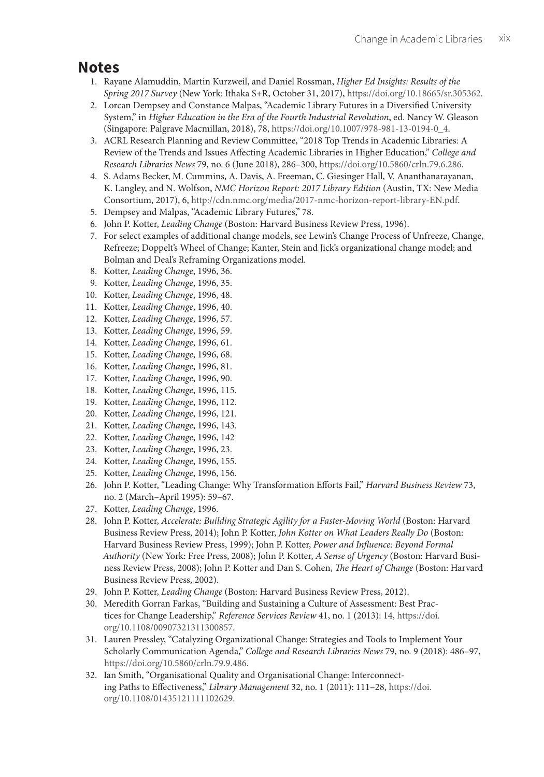## **Notes**

- 1. Rayane Alamuddin, Martin Kurzweil, and Daniel Rossman, *Higher Ed Insights: Results of the Spring 2017 Survey* (New York: Ithaka S+R, October 31, 2017), <https://doi.org/10.18665/sr.305362>.
- 2. Lorcan Dempsey and Constance Malpas, "Academic Library Futures in a Diversified University System," in *Higher Education in the Era of the Fourth Industrial Revolution*, ed. Nancy W. Gleason (Singapore: Palgrave Macmillan, 2018), 78, [https://doi.org/10.1007/978-981-13-0194-0\\_4](https://doi.org/10.1007/978-981-13-0194-0_4).
- 3. ACRL Research Planning and Review Committee, "2018 Top Trends in Academic Libraries: A Review of the Trends and Issues Affecting Academic Libraries in Higher Education," *College and Research Libraries News* 79, no. 6 (June 2018), 286–300, [https://doi.org/10.5860/crln.79.6.286.](https://doi.org/10.5860/crln.79.6.286)
- 4. S. Adams Becker, M. Cummins, A. Davis, A. Freeman, C. Giesinger Hall, V. Ananthanarayanan, K. Langley, and N. Wolfson, *NMC Horizon Report: 2017 Library Edition* (Austin, TX: New Media Consortium, 2017), 6,<http://cdn.nmc.org/media/2017-nmc-horizon-report-library-EN.pdf>.
- 5. Dempsey and Malpas, "Academic Library Futures," 78.
- 6. John P. Kotter, *Leading Change* (Boston: Harvard Business Review Press, 1996).
- 7. For select examples of additional change models, see Lewin's Change Process of Unfreeze, Change, Refreeze; Doppelt's Wheel of Change; Kanter, Stein and Jick's organizational change model; and Bolman and Deal's Reframing Organizations model.
- 8. Kotter, *Leading Change*, 1996, 36.
- 9. Kotter, *Leading Change*, 1996, 35.
- 10. Kotter, *Leading Change*, 1996, 48.
- 11. Kotter, *Leading Change*, 1996, 40.
- 12. Kotter, *Leading Change*, 1996, 57.
- 13. Kotter, *Leading Change*, 1996, 59.
- 14. Kotter, *Leading Change*, 1996, 61.
- 15. Kotter, *Leading Change*, 1996, 68.
- 16. Kotter, *Leading Change*, 1996, 81.
- 17. Kotter, *Leading Change*, 1996, 90.
- 18. Kotter, *Leading Change*, 1996, 115.
- 19. Kotter, *Leading Change*, 1996, 112.
- 20. Kotter, *Leading Change*, 1996, 121.
- 21. Kotter, *Leading Change*, 1996, 143.
- 22. Kotter, *Leading Change*, 1996, 142
- 23. Kotter, *Leading Change*, 1996, 23.
- 24. Kotter, *Leading Change*, 1996, 155.
- 25. Kotter, *Leading Change*, 1996, 156.
- 26. John P. Kotter, "Leading Change: Why Transformation Efforts Fail," *Harvard Business Review* 73, no. 2 (March–April 1995): 59–67.
- 27. Kotter, *Leading Change*, 1996.
- 28. John P. Kotter, *Accelerate: Building Strategic Agility for a Faster-Moving World* (Boston: Harvard Business Review Press, 2014); John P. Kotter, *John Kotter on What Leaders Really Do* (Boston: Harvard Business Review Press, 1999); John P. Kotter, *Power and Influence: Beyond Formal Authority* (New York: Free Press, 2008); John P. Kotter, *A Sense of Urgency* (Boston: Harvard Business Review Press, 2008); John P. Kotter and Dan S. Cohen, *The Heart of Change* (Boston: Harvard Business Review Press, 2002).
- 29. John P. Kotter, *Leading Change* (Boston: Harvard Business Review Press, 2012).
- 30. Meredith Gorran Farkas, "Building and Sustaining a Culture of Assessment: Best Practices for Change Leadership," *Reference Services Review* 41, no. 1 (2013): 14, [https://doi.](https://doi.org/10.1108/00907321311300857) [org/10.1108/00907321311300857.](https://doi.org/10.1108/00907321311300857)
- 31. Lauren Pressley, "Catalyzing Organizational Change: Strategies and Tools to Implement Your Scholarly Communication Agenda," *College and Research Libraries News* 79, no. 9 (2018): 486–97, <https://doi.org/10.5860/crln.79.9.486>.
- 32. Ian Smith, "Organisational Quality and Organisational Change: Interconnecting Paths to Effectiveness," *Library Management* 32, no. 1 (2011): 111–28, [https://doi.](https://doi.org/10.1108/01435121111102629) [org/10.1108/01435121111102629.](https://doi.org/10.1108/01435121111102629)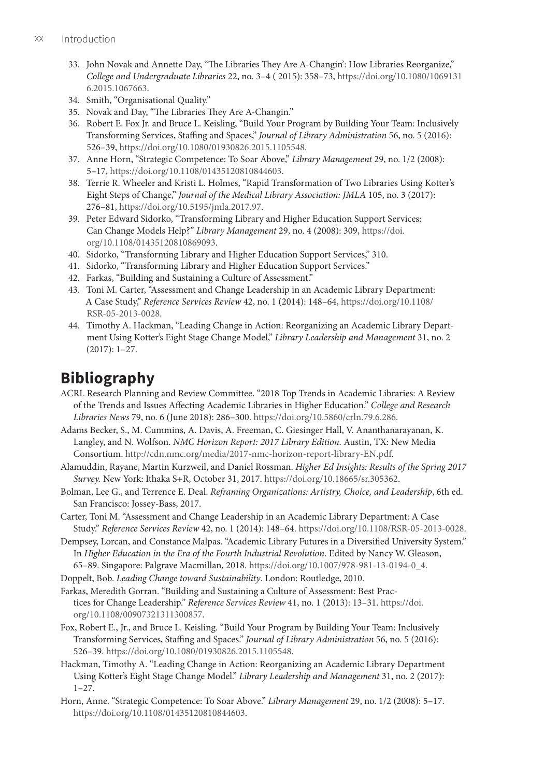- 33. John Novak and Annette Day, "The Libraries They Are A-Changin': How Libraries Reorganize," *College and Undergraduate Libraries* 22, no. 3–4 ( 2015): 358–73, [https://doi.org/10.1080/1069131](https://doi.org/10.1080/10691316.2015.1067663) [6.2015.1067663](https://doi.org/10.1080/10691316.2015.1067663).
- 34. Smith, "Organisational Quality."
- 35. Novak and Day, "The Libraries They Are A-Changin."
- 36. Robert E. Fox Jr. and Bruce L. Keisling, "Build Your Program by Building Your Team: Inclusively Transforming Services, Staffing and Spaces," *Journal of Library Administration* 56, no. 5 (2016): 526–39, <https://doi.org/10.1080/01930826.2015.1105548>.
- 37. Anne Horn, "Strategic Competence: To Soar Above," *Library Management* 29, no. 1/2 (2008): 5–17, [https://doi.org/10.1108/01435120810844603.](https://doi.org/10.1108/01435120810844603)
- 38. Terrie R. Wheeler and Kristi L. Holmes, "Rapid Transformation of Two Libraries Using Kotter's Eight Steps of Change," *Journal of the Medical Library Association: JMLA* 105, no. 3 (2017): 276–81, [https://doi.org/10.5195/jmla.2017.97.](https://doi.org/10.5195/jmla.2017.97)
- 39. Peter Edward Sidorko, "Transforming Library and Higher Education Support Services: Can Change Models Help?" *Library Management* 29, no. 4 (2008): 309, [https://doi.](https://doi.org/10.1108/01435120810869093) [org/10.1108/01435120810869093.](https://doi.org/10.1108/01435120810869093)
- 40. Sidorko, "Transforming Library and Higher Education Support Services," 310.
- 41. Sidorko, "Transforming Library and Higher Education Support Services."
- 42. Farkas, "Building and Sustaining a Culture of Assessment."
- 43. Toni M. Carter, "Assessment and Change Leadership in an Academic Library Department: A Case Study," *Reference Services Review* 42, no. 1 (2014): 148–64, [https://doi.org/10.1108/](https://doi.org/10.1108/RSR-05-2013-0028) [RSR-05-2013-0028](https://doi.org/10.1108/RSR-05-2013-0028).
- 44. Timothy A. Hackman, "Leading Change in Action: Reorganizing an Academic Library Department Using Kotter's Eight Stage Change Model," *Library Leadership and Management* 31, no. 2 (2017): 1–27.

# **Bibliography**

- ACRL Research Planning and Review Committee. "2018 Top Trends in Academic Libraries: A Review of the Trends and Issues Affecting Academic Libraries in Higher Education." *College and Research Libraries News* 79, no. 6 (June 2018): 286–300. [https://doi.org/10.5860/crln.79.6.286.](https://doi.org/10.5860/crln.79.6.286)
- Adams Becker, S., M. Cummins, A. Davis, A. Freeman, C. Giesinger Hall, V. Ananthanarayanan, K. Langley, and N. Wolfson. *NMC Horizon Report: 2017 Library Edition*. Austin, TX: New Media Consortium. [http://cdn.nmc.org/media/2017-nmc-horizon-report-library-EN.pdf.](http://cdn.nmc.org/media/2017-nmc-horizon-report-library-EN.pdf)
- Alamuddin, Rayane, Martin Kurzweil, and Daniel Rossman. *Higher Ed Insights: Results of the Spring 2017 Survey.* New York: Ithaka S+R, October 31, 2017. [https://doi.org/10.18665/sr.305362.](https://doi.org/10.18665/sr.305362)
- Bolman, Lee G., and Terrence E. Deal. *Reframing Organizations: Artistry, Choice, and Leadership*, 6th ed. San Francisco: Jossey-Bass, 2017.
- Carter, Toni M. "Assessment and Change Leadership in an Academic Library Department: A Case Study." *Reference Services Review* 42, no. 1 (2014): 148–64. [https://doi.org/10.1108/RSR-05-2013-0028.](https://doi.org/10.1108/RSR-05-2013-0028)
- Dempsey, Lorcan, and Constance Malpas. "Academic Library Futures in a Diversified University System." In *Higher Education in the Era of the Fourth Industrial Revolution*. Edited by Nancy W. Gleason, 65–89. Singapore: Palgrave Macmillan, 2018. [https://doi.org/10.1007/978-981-13-0194-0\\_4](https://doi.org/10.1007/978-981-13-0194-0_4).
- Doppelt, Bob. *Leading Change toward Sustainability*. London: Routledge, 2010.
- Farkas, Meredith Gorran. "Building and Sustaining a Culture of Assessment: Best Practices for Change Leadership." *Reference Services Review* 41, no. 1 (2013): 13–31. [https://doi.](https://doi.org/10.1108/00907321311300857) [org/10.1108/00907321311300857](https://doi.org/10.1108/00907321311300857).
- Fox, Robert E., Jr., and Bruce L. Keisling. "Build Your Program by Building Your Team: Inclusively Transforming Services, Staffing and Spaces." *Journal of Library Administration* 56, no. 5 (2016): 526–39.<https://doi.org/10.1080/01930826.2015.1105548>.
- Hackman, Timothy A. "Leading Change in Action: Reorganizing an Academic Library Department Using Kotter's Eight Stage Change Model." *Library Leadership and Management* 31, no. 2 (2017): 1–27.
- Horn, Anne. "Strategic Competence: To Soar Above." *Library Management* 29, no. 1/2 (2008): 5–17. [https://doi.org/10.1108/01435120810844603.](https://doi.org/10.1108/01435120810844603)